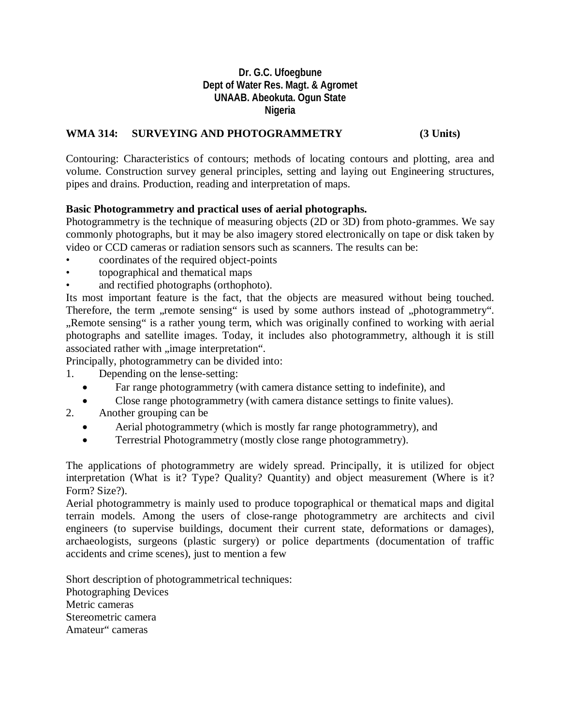## **Dr. G.C. Ufoegbune Dept of Water Res. Magt. & Agromet UNAAB. Abeokuta. Ogun State Nigeria**

## **WMA 314: SURVEYING AND PHOTOGRAMMETRY (3 Units)**

Contouring: Characteristics of contours; methods of locating contours and plotting, area and volume. Construction survey general principles, setting and laying out Engineering structures, pipes and drains. Production, reading and interpretation of maps.

### **Basic Photogrammetry and practical uses of aerial photographs.**

Photogrammetry is the technique of measuring objects (2D or 3D) from photo-grammes. We say commonly photographs, but it may be also imagery stored electronically on tape or disk taken by video or CCD cameras or radiation sensors such as scanners. The results can be:

- coordinates of the required object-points
- topographical and thematical maps
- and rectified photographs (orthophoto).

Its most important feature is the fact, that the objects are measured without being touched. Therefore, the term , remote sensing" is used by some authors instead of "photogrammetry". "Remote sensing" is a rather young term, which was originally confined to working with aerial photographs and satellite images. Today, it includes also photogrammetry, although it is still associated rather with "image interpretation".

Principally, photogrammetry can be divided into:

- 1. Depending on the lense-setting:
	- Far range photogrammetry (with camera distance setting to indefinite), and
	- Close range photogrammetry (with camera distance settings to finite values).
- 2. Another grouping can be
	- Aerial photogrammetry (which is mostly far range photogrammetry), and
	- Terrestrial Photogrammetry (mostly close range photogrammetry).

The applications of photogrammetry are widely spread. Principally, it is utilized for object interpretation (What is it? Type? Quality? Quantity) and object measurement (Where is it? Form? Size?).

Aerial photogrammetry is mainly used to produce topographical or thematical maps and digital terrain models. Among the users of close-range photogrammetry are architects and civil engineers (to supervise buildings, document their current state, deformations or damages), archaeologists, surgeons (plastic surgery) or police departments (documentation of traffic accidents and crime scenes), just to mention a few

Short description of photogrammetrical techniques: Photographing Devices Metric cameras Stereometric camera Amateur" cameras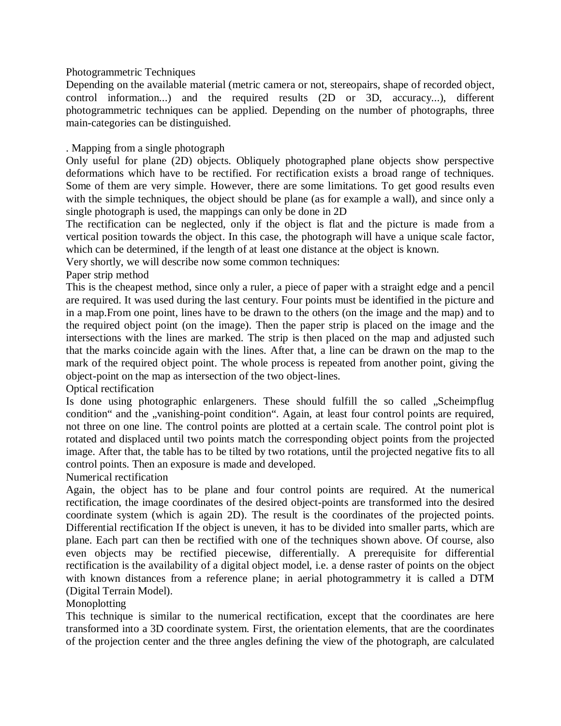Photogrammetric Techniques

Depending on the available material (metric camera or not, stereopairs, shape of recorded object, control information...) and the required results (2D or 3D, accuracy...), different photogrammetric techniques can be applied. Depending on the number of photographs, three main-categories can be distinguished.

### . Mapping from a single photograph

Only useful for plane (2D) objects. Obliquely photographed plane objects show perspective deformations which have to be rectified. For rectification exists a broad range of techniques. Some of them are very simple. However, there are some limitations. To get good results even with the simple techniques, the object should be plane (as for example a wall), and since only a single photograph is used, the mappings can only be done in 2D

The rectification can be neglected, only if the object is flat and the picture is made from a vertical position towards the object. In this case, the photograph will have a unique scale factor, which can be determined, if the length of at least one distance at the object is known.

Very shortly, we will describe now some common techniques:

Paper strip method

This is the cheapest method, since only a ruler, a piece of paper with a straight edge and a pencil are required. It was used during the last century. Four points must be identified in the picture and in a map.From one point, lines have to be drawn to the others (on the image and the map) and to the required object point (on the image). Then the paper strip is placed on the image and the intersections with the lines are marked. The strip is then placed on the map and adjusted such that the marks coincide again with the lines. After that, a line can be drawn on the map to the mark of the required object point. The whole process is repeated from another point, giving the object-point on the map as intersection of the two object-lines.

Optical rectification

Is done using photographic enlargeners. These should fulfill the so called "Scheimpflug condition" and the "vanishing-point condition". Again, at least four control points are required, not three on one line. The control points are plotted at a certain scale. The control point plot is rotated and displaced until two points match the corresponding object points from the projected image. After that, the table has to be tilted by two rotations, until the projected negative fits to all control points. Then an exposure is made and developed.

Numerical rectification

Again, the object has to be plane and four control points are required. At the numerical rectification, the image coordinates of the desired object-points are transformed into the desired coordinate system (which is again 2D). The result is the coordinates of the projected points. Differential rectification If the object is uneven, it has to be divided into smaller parts, which are plane. Each part can then be rectified with one of the techniques shown above. Of course, also even objects may be rectified piecewise, differentially. A prerequisite for differential rectification is the availability of a digital object model, i.e. a dense raster of points on the object with known distances from a reference plane; in aerial photogrammetry it is called a DTM (Digital Terrain Model).

Monoplotting

This technique is similar to the numerical rectification, except that the coordinates are here transformed into a 3D coordinate system. First, the orientation elements, that are the coordinates of the projection center and the three angles defining the view of the photograph, are calculated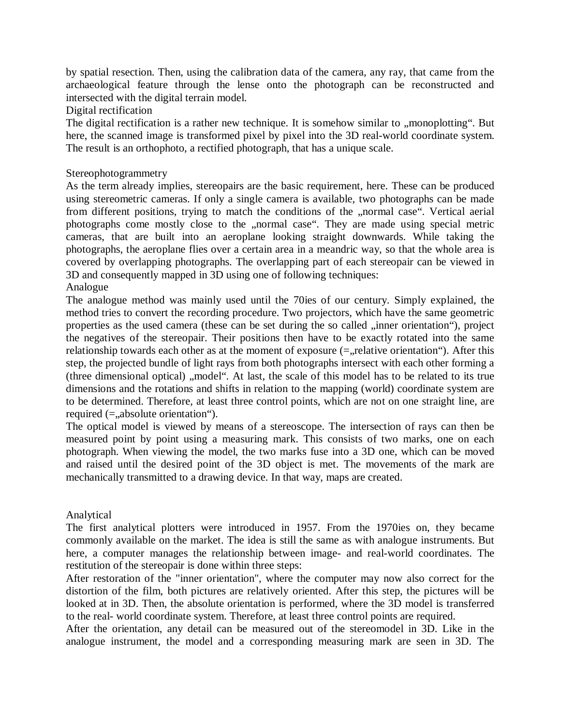by spatial resection. Then, using the calibration data of the camera, any ray, that came from the archaeological feature through the lense onto the photograph can be reconstructed and intersected with the digital terrain model.

Digital rectification

The digital rectification is a rather new technique. It is somehow similar to "monoplotting". But here, the scanned image is transformed pixel by pixel into the 3D real-world coordinate system. The result is an orthophoto, a rectified photograph, that has a unique scale.

### Stereophotogrammetry

As the term already implies, stereopairs are the basic requirement, here. These can be produced using stereometric cameras. If only a single camera is available, two photographs can be made from different positions, trying to match the conditions of the "normal case". Vertical aerial photographs come mostly close to the "normal case". They are made using special metric cameras, that are built into an aeroplane looking straight downwards. While taking the photographs, the aeroplane flies over a certain area in a meandric way, so that the whole area is covered by overlapping photographs. The overlapping part of each stereopair can be viewed in 3D and consequently mapped in 3D using one of following techniques:

# Analogue

The analogue method was mainly used until the 70ies of our century. Simply explained, the method tries to convert the recording procedure. Two projectors, which have the same geometric properties as the used camera (these can be set during the so called , inner orientation"), project the negatives of the stereopair. Their positions then have to be exactly rotated into the same relationship towards each other as at the moment of exposure  $(=$ , relative orientation"). After this step, the projected bundle of light rays from both photographs intersect with each other forming a (three dimensional optical) "model". At last, the scale of this model has to be related to its true dimensions and the rotations and shifts in relation to the mapping (world) coordinate system are to be determined. Therefore, at least three control points, which are not on one straight line, are required  $(=$ , absolute orientation").

The optical model is viewed by means of a stereoscope. The intersection of rays can then be measured point by point using a measuring mark. This consists of two marks, one on each photograph. When viewing the model, the two marks fuse into a 3D one, which can be moved and raised until the desired point of the 3D object is met. The movements of the mark are mechanically transmitted to a drawing device. In that way, maps are created.

#### Analytical

The first analytical plotters were introduced in 1957. From the 1970ies on, they became commonly available on the market. The idea is still the same as with analogue instruments. But here, a computer manages the relationship between image- and real-world coordinates. The restitution of the stereopair is done within three steps:

After restoration of the "inner orientation", where the computer may now also correct for the distortion of the film, both pictures are relatively oriented. After this step, the pictures will be looked at in 3D. Then, the absolute orientation is performed, where the 3D model is transferred to the real- world coordinate system. Therefore, at least three control points are required.

After the orientation, any detail can be measured out of the stereomodel in 3D. Like in the analogue instrument, the model and a corresponding measuring mark are seen in 3D. The